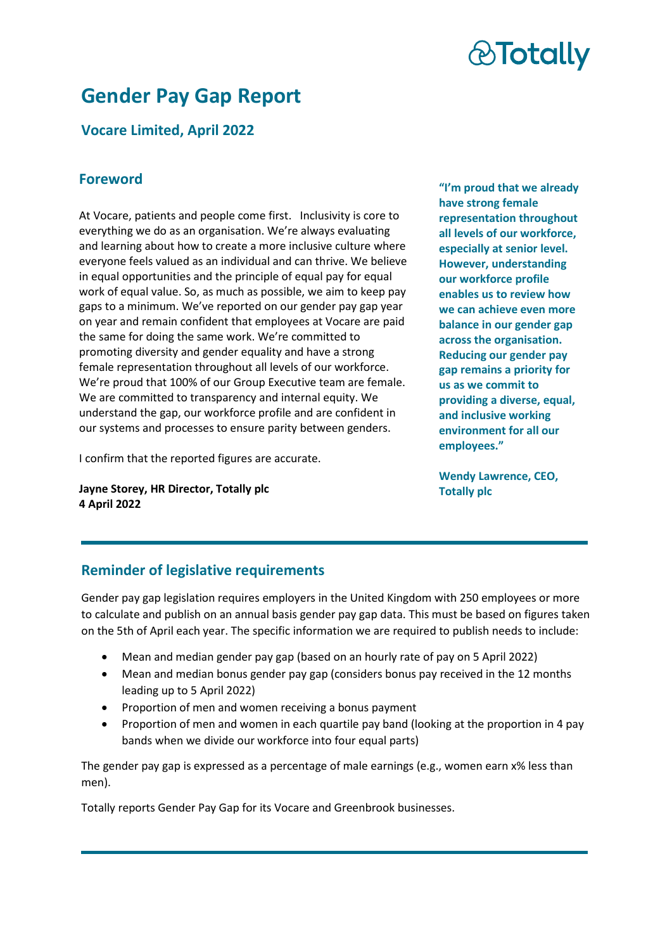# *&Totally*

# **Gender Pay Gap Report**

# **Vocare Limited, April 2022**

### **Foreword**

At Vocare, patients and people come first. Inclusivity is core to everything we do as an organisation. We're always evaluating and learning about how to create a more inclusive culture where everyone feels valued as an individual and can thrive. We believe in equal opportunities and the principle of equal pay for equal work of equal value. So, as much as possible, we aim to keep pay gaps to a minimum. We've reported on our gender pay gap year on year and remain confident that employees at Vocare are paid the same for doing the same work. We're committed to promoting diversity and gender equality and have a strong female representation throughout all levels of our workforce. We're proud that 100% of our Group Executive team are female. We are committed to transparency and internal equity. We understand the gap, our workforce profile and are confident in our systems and processes to ensure parity between genders.

I confirm that the reported figures are accurate.

**Jayne Storey, HR Director, Totally plc 4 April 2022**

**"I'm proud that we already have strong female representation throughout all levels of our workforce, especially at senior level. However, understanding our workforce profile enables us to review how we can achieve even more balance in our gender gap across the organisation. Reducing our gender pay gap remains a priority for us as we commit to providing a diverse, equal, and inclusive working environment for all our employees."** 

**Wendy Lawrence, CEO, Totally plc**

### **Reminder of legislative requirements**

Gender pay gap legislation requires employers in the United Kingdom with 250 employees or more to calculate and publish on an annual basis gender pay gap data. This must be based on figures taken on the 5th of April each year. The specific information we are required to publish needs to include:

- Mean and median gender pay gap (based on an hourly rate of pay on 5 April 2022)
- Mean and median bonus gender pay gap (considers bonus pay received in the 12 months leading up to 5 April 2022)
- Proportion of men and women receiving a bonus payment
- Proportion of men and women in each quartile pay band (looking at the proportion in 4 pay bands when we divide our workforce into four equal parts)

The gender pay gap is expressed as a percentage of male earnings (e.g., women earn x% less than men).

Totally reports Gender Pay Gap for its Vocare and Greenbrook businesses.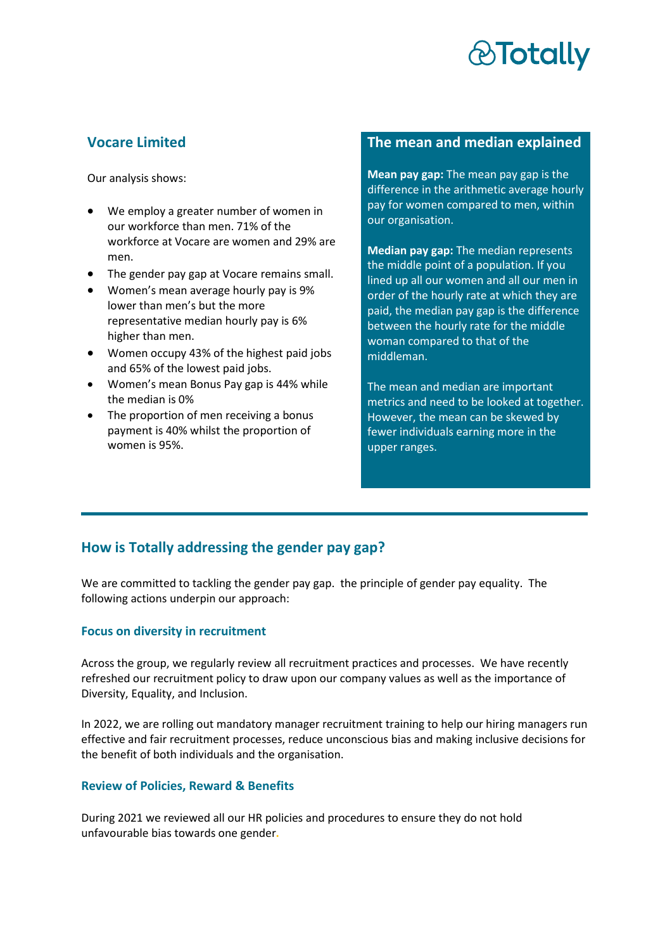# **&Totally**

### **Vocare Limited**

Our analysis shows:

- We employ a greater number of women in our workforce than men. 71% of the workforce at Vocare are women and 29% are men.
- The gender pay gap at Vocare remains small.
- Women's mean average hourly pay is 9% lower than men's but the more representative median hourly pay is 6% higher than men.
- Women occupy 43% of the highest paid jobs and 65% of the lowest paid jobs.
- Women's mean Bonus Pay gap is 44% while the median is 0%
- The proportion of men receiving a bonus payment is 40% whilst the proportion of women is 95%.

#### **The mean and median explained**

**Mean pay gap:** The mean pay gap is the difference in the arithmetic average hourly pay for women compared to men, within our organisation.

**Median pay gap:** The median represents the middle point of a population. If you lined up all our women and all our men in order of the hourly rate at which they are paid, the median pay gap is the difference between the hourly rate for the middle woman compared to that of the middleman.

The mean and median are important metrics and need to be looked at together. However, the mean can be skewed by fewer individuals earning more in the upper ranges.

## **How is Totally addressing the gender pay gap?**

We are committed to tackling the gender pay gap. the principle of gender pay equality. The following actions underpin our approach:

#### **Focus on diversity in recruitment**

Across the group, we regularly review all recruitment practices and processes. We have recently refreshed our recruitment policy to draw upon our company values as well as the importance of Diversity, Equality, and Inclusion.

In 2022, we are rolling out mandatory manager recruitment training to help our hiring managers run effective and fair recruitment processes, reduce unconscious bias and making inclusive decisions for the benefit of both individuals and the organisation.

#### **Review of Policies, Reward & Benefits**

During 2021 we reviewed all our HR policies and procedures to ensure they do not hold unfavourable bias towards one gender**.**